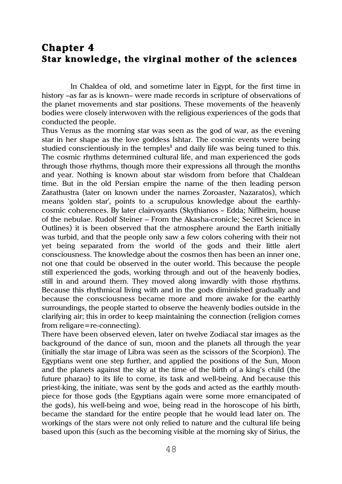## **Chapter 4 Star knowledge, the virginal mother of the sciences**

In Chaldea of old, and sometime later in Egypt, for the first time in history –as far as is known– were made records in scripture of observations of the planet movements and star positions. These movements of the heavenly bodies were closely interwoven with the religious experiences of the gods that conducted the people.

Thus Venus as the morning star was seen as the god of war, as the evening star in her shape as the love goddess Ishtar. The cosmic events were being studied conscientiously in the temples**<sup>1</sup>** and daily life was being tuned to this. The cosmic rhythms determined cultural life, and man experienced the gods through those rhythms, though more their expressions all through the months and year. Nothing is known about star wisdom from before that Chaldean time. But in the old Persian empire the name of the then leading person Zarathustra (later on known under the names Zoroaster, Nazaratos), which means 'golden star', points to a scrupulous knowledge about the earthlycosmic coherences. By later clairvoyants (Skythianos – Edda; Niflheim, house of the nebulae. Rudolf Steiner – From the Akasha-cronicle; Secret Science in Outlines) it is been observed that the atmosphere around the Earth initially was turbid, and that the people only saw a few colors cohering with their not yet being separated from the world of the gods and their little alert consciousness. The knowledge about the cosmos then has been an inner one, not one that could be observed in the outer world. This because the people still experienced the gods, working through and out of the heavenly bodies, still in and around them. They moved along inwardly with those rhythms. Because this rhythmical living with and in the gods diminished gradually and because the consciousness became more and more awake for the earthly surroundings, the people started to observe the heavenly bodies outside in the clarifying air; this in order to keep maintaining the connection (religion comes from religare=re-connecting).

There have been observed eleven, later on twelve Zodiacal star images as the background of the dance of sun, moon and the planets all through the year (initially the star image of Libra was seen as the scissors of the Scorpion). The Egyptians went one step further, and applied the positions of the Sun, Moon and the planets against the sky at the time of the birth of a king's child (the future pharao) to its life to come, its task and well-being. And because this priest-king, the initiate, was sent by the gods and acted as the earthly mouthpiece for those gods (the Egyptians again were some more emancipated of the gods), his well-being and woe, being read in the horoscope of his birth, became the standard for the entire people that he would lead later on. The workings of the stars were not only relied to nature and the cultural life being based upon this (such as the becoming visible at the morning sky of Sirius, the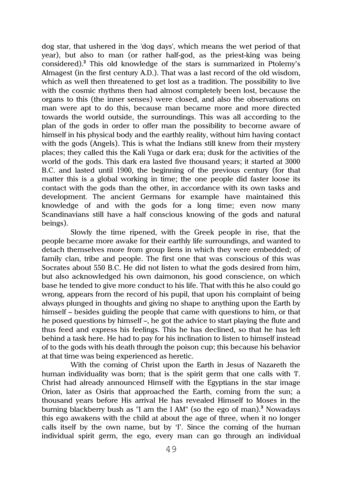dog star, that ushered in the 'dog days', which means the wet period of that year), but also to man (or rather half-god, as the priest-king was being considered). **<sup>2</sup>** This old knowledge of the stars is summarized in Ptolemy's Almagest (in the first century A.D.). That was a last record of the old wisdom, which as well then threatened to get lost as a tradition. The possibility to live with the cosmic rhythms then had almost completely been lost, because the organs to this (the inner senses) were closed, and also the observations on man were apt to do this, because man became more and more directed towards the world outside, the surroundings. This was all according to the plan of the gods in order to offer man the possibility to become aware of himself in his physical body and the earthly reality, without him having contact with the gods (Angels). This is what the Indians still knew from their mystery places; they called this the Kali Yuga or dark era; dusk for the activities of the world of the gods. This dark era lasted five thousand years; it started at 3000 B.C. and lasted until 1900, the beginning of the previous century (for that matter this is a global working in time; the one people did faster loose its contact with the gods than the other, in accordance with its own tasks and development. The ancient Germans for example have maintained this knowledge of and with the gods for a long time; even now many Scandinavians still have a half conscious knowing of the gods and natural beings).

Slowly the time ripened, with the Greek people in rise, that the people became more awake for their earthly life surroundings, and wanted to detach themselves more from group liens in which they were embedded; of family clan, tribe and people. The first one that was conscious of this was Socrates about 550 B.C. He did not listen to what the gods desired from him, but also acknowledged his own daimonon, his good conscience, on which base he tended to give more conduct to his life. That with this he also could go wrong, appears from the record of his pupil, that upon his complaint of being always plunged in thoughts and giving no shape to anything upon the Earth by himself – besides guiding the people that came with questions to him, or that he posed questions by himself –, he got the advice to start playing the flute and thus feed and express his feelings. This he has declined, so that he has left behind a task here. He had to pay for his inclination to listen to himself instead of to the gods with his death through the poison cup; this because his behavior at that time was being experienced as heretic.

With the coming of Christ upon the Earth in Jesus of Nazareth the human individuality was born; that is the spirit germ that one calls with 'I'. Christ had already announced Himself with the Egyptians in the star image Orion, later as Osiris that approached the Earth, coming from the sun; a thousand years before His arrival He has revealed Himself to Moses in the burning blackberry bush as "I am the I AM" (so the ego of man). **<sup>3</sup>** Nowadays this ego awakens with the child at about the age of three, when it no longer calls itself by the own name, but by 'I'. Since the coming of the human individual spirit germ, the ego, every man can go through an individual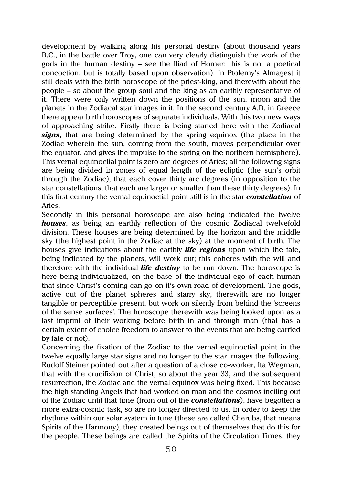development by walking along his personal destiny (about thousand years B.C., in the battle over Troy, one can very clearly distinguish the work of the gods in the human destiny – see the Iliad of Homer; this is not a poetical concoction, but is totally based upon observation). In Ptolemy's Almagest it still deals with the birth horoscope of the priest-king, and therewith about the people – so about the group soul and the king as an earthly representative of it. There were only written down the positions of the sun, moon and the planets in the Zodiacal star images in it. In the second century A.D. in Greece there appear birth horoscopes of separate individuals. With this two new ways of approaching strike. Firstly there is being started here with the Zodiacal *signs*, that are being determined by the spring equinox (the place in the Zodiac wherein the sun, coming from the south, moves perpendicular over the equator, and gives the impulse to the spring on the northern hemisphere). This vernal equinoctial point is zero arc degrees of Aries; all the following signs are being divided in zones of equal length of the ecliptic (the sun's orbit through the Zodiac), that each cover thirty arc degrees (in opposition to the star constellations, that each are larger or smaller than these thirty degrees). In this first century the vernal equinoctial point still is in the star *constellation* of Aries.

Secondly in this personal horoscope are also being indicated the twelve *houses*, as being an earthly reflection of the cosmic Zodiacal twelvefold division. These houses are being determined by the horizon and the middle sky (the highest point in the Zodiac at the sky) at the moment of birth. The houses give indications about the earthly *life regions* upon which the fate, being indicated by the planets, will work out; this coheres with the will and therefore with the individual *life destiny* to be run down. The horoscope is here being individualized, on the base of the individual ego of each human that since Christ's coming can go on it's own road of development. The gods, active out of the planet spheres and starry sky, therewith are no longer tangible or perceptible present, but work on silently from behind the 'screens of the sense surfaces'. The horoscope therewith was being looked upon as a last imprint of their working before birth in and through man (that has a certain extent of choice freedom to answer to the events that are being carried by fate or not).

Concerning the fixation of the Zodiac to the vernal equinoctial point in the twelve equally large star signs and no longer to the star images the following. Rudolf Steiner pointed out after a question of a close co-worker, Ita Wegman, that with the crucifixion of Christ, so about the year 33, and the subsequent resurrection, the Zodiac and the vernal equinox was being fixed. This because the high standing Angels that had worked on man and the cosmos inciting out of the Zodiac until that time (from out of the *constellations*), have begotten a more extra-cosmic task, so are no longer directed to us. In order to keep the rhythms within our solar system in tune (these are called Cherubs, that means Spirits of the Harmony), they created beings out of themselves that do this for the people. These beings are called the Spirits of the Circulation Times, they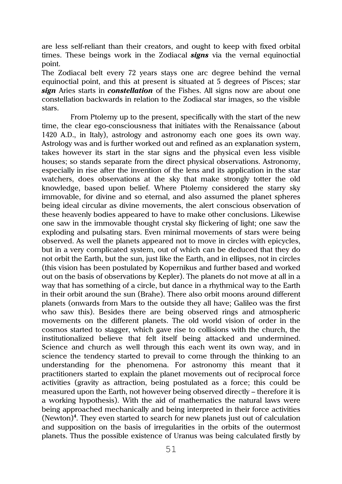are less self-reliant than their creators, and ought to keep with fixed orbital times. These beings work in the Zodiacal **signs** via the vernal equinoctial point.

The Zodiacal belt every 72 years stays one arc degree behind the vernal equinoctial point, and this at present is situated at 5 degrees of Pisces; star *sign* Aries starts in *constellation* of the Fishes. All signs now are about one constellation backwards in relation to the Zodiacal star images, so the visible stars.

From Ptolemy up to the present, specifically with the start of the new time, the clear ego-consciousness that initiates with the Renaissance (about 1420 A.D., in Italy), astrology and astronomy each one goes its own way. Astrology was and is further worked out and refined as an explanation system, takes however its start in the star signs and the physical even less visible houses; so stands separate from the direct physical observations. Astronomy, especially in rise after the invention of the lens and its application in the star watchers, does observations at the sky that make strongly totter the old knowledge, based upon belief. Where Ptolemy considered the starry sky immovable, for divine and so eternal, and also assumed the planet spheres being ideal circular as divine movements, the alert conscious observation of these heavenly bodies appeared to have to make other conclusions. Likewise one saw in the immovable thought crystal sky flickering of light; one saw the exploding and pulsating stars. Even minimal movements of stars were being observed. As well the planets appeared not to move in circles with epicycles, but in a very complicated system, out of which can be deduced that they do not orbit the Earth, but the sun, just like the Earth, and in ellipses, not in circles (this vision has been postulated by Kopernikus and further based and worked out on the basis of observations by Kepler). The planets do not move at all in a way that has something of a circle, but dance in a rhythmical way to the Earth in their orbit around the sun (Brahe). There also orbit moons around different planets (onwards from Mars to the outside they all have; Galileo was the first who saw this). Besides there are being observed rings and atmospheric movements on the different planets. The old world vision of order in the cosmos started to stagger, which gave rise to collisions with the church, the institutionalized believe that felt itself being attacked and undermined. Science and church as well through this each went its own way, and in science the tendency started to prevail to come through the thinking to an understanding for the phenomena. For astronomy this meant that it practitioners started to explain the planet movements out of reciprocal force activities (gravity as attraction, being postulated as a force; this could be measured upon the Earth, not however being observed directly – therefore it is a working hypothesis). With the aid of mathematics the natural laws were being approached mechanically and being interpreted in their force activities (Newton)**<sup>4</sup>** . They even started to search for new planets just out of calculation and supposition on the basis of irregularities in the orbits of the outermost planets. Thus the possible existence of Uranus was being calculated firstly by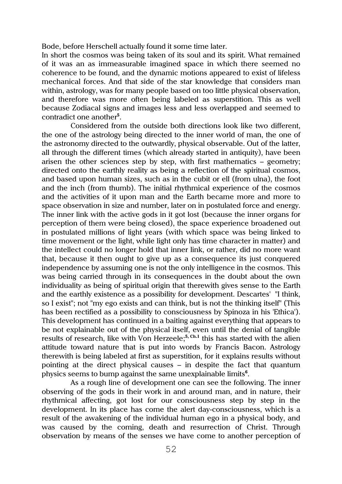Bode, before Herschell actually found it some time later.

In short the cosmos was being taken of its soul and its spirit. What remained of it was an as immeasurable imagined space in which there seemed no coherence to be found, and the dynamic motions appeared to exist of lifeless mechanical forces. And that side of the star knowledge that considers man within, astrology, was for many people based on too little physical observation, and therefore was more often being labeled as superstition. This as well because Zodiacal signs and images less and less overlapped and seemed to contradict one another**<sup>5</sup>** .

Considered from the outside both directions look like two different, the one of the astrology being directed to the inner world of man, the one of the astronomy directed to the outwardly, physical observable. Out of the latter, all through the different times (which already started in antiquity), have been arisen the other sciences step by step, with first mathematics – geometry; directed onto the earthly reality as being a reflection of the spiritual cosmos, and based upon human sizes, such as in the cubit or ell (from ulna), the foot and the inch (from thumb). The initial rhythmical experience of the cosmos and the activities of it upon man and the Earth became more and more to space observation in size and number, later on in postulated force and energy. The inner link with the active gods in it got lost (because the inner organs for perception of them were being closed), the space experience broadened out in postulated millions of light years (with which space was being linked to time movement or the light, while light only has time character in matter) and the intellect could no longer hold that inner link, or rather, did no more want that, because it then ought to give up as a consequence its just conquered independence by assuming one is not the only intelligence in the cosmos. This was being carried through in its consequences in the doubt about the own individuality as being of spiritual origin that therewith gives sense to the Earth and the earthly existence as a possibility for development. Descartes' "I think, so I exist"; not "my ego exists and can think, but is not the thinking itself" (This has been rectified as a possibility to consciousness by Spinoza in his 'Ethica'). This development has continued in a baiting against everything that appears to be not explainable out of the physical itself, even until the denial of tangible results of research, like with Von Herzeele; **5, Ch.1** this has started with the alien attitude toward nature that is put into words by Francis Bacon. Astrology therewith is being labeled at first as superstition, for it explains results without pointing at the direct physical causes – in despite the fact that quantum physics seems to bump against the same unexplainable limits**<sup>6</sup>** .

As a rough line of development one can see the following. The inner observing of the gods in their work in and around man, and in nature, their rhythmical affecting, got lost for our consciousness step by step in the development. In its place has come the alert day-consciousness, which is a result of the awakening of the individual human ego in a physical body, and was caused by the coming, death and resurrection of Christ. Through observation by means of the senses we have come to another perception of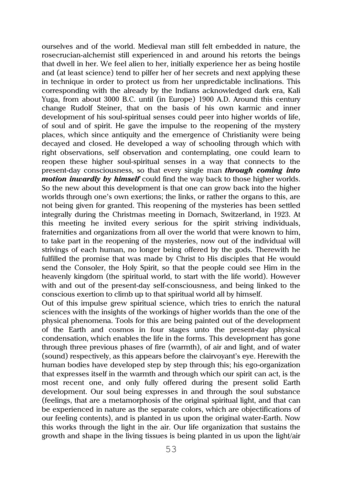ourselves and of the world. Medieval man still felt embedded in nature, the rosecrucian-alchemist still experienced in and around his retorts the beings that dwell in her. We feel alien to her, initially experience her as being hostile and (at least science) tend to pilfer her of her secrets and next applying these in technique in order to protect us from her unpredictable inclinations. This corresponding with the already by the Indians acknowledged dark era, Kali Yuga, from about 3000 B.C. until (in Europe) 1900 A.D. Around this century change Rudolf Steiner, that on the basis of his own karmic and inner development of his soul-spiritual senses could peer into higher worlds of life, of soul and of spirit. He gave the impulse to the reopening of the mystery places, which since antiquity and the emergence of Christianity were being decayed and closed. He developed a way of schooling through which with right observations, self observation and contemplating, one could learn to reopen these higher soul-spiritual senses in a way that connects to the present-day consciousness, so that every single man *through coming into motion inwardly by himself* could find the way back to those higher worlds. So the new about this development is that one can grow back into the higher worlds through one's own exertions; the links, or rather the organs to this, are not being given for granted. This reopening of the mysteries has been settled integrally during the Christmas meeting in Dornach, Switzerland, in 1923. At this meeting he invited every serious for the spirit striving individuals, fraternities and organizations from all over the world that were known to him, to take part in the reopening of the mysteries, now out of the individual will strivings of each human, no longer being offered by the gods. Therewith he fulfilled the promise that was made by Christ to His disciples that He would send the Consoler, the Holy Spirit, so that the people could see Him in the heavenly kingdom (the spiritual world, to start with the life world). However with and out of the present-day self-consciousness, and being linked to the conscious exertion to climb up to that spiritual world all by himself.

Out of this impulse grew spiritual science, which tries to enrich the natural sciences with the insights of the workings of higher worlds than the one of the physical phenomena. Tools for this are being painted out of the development of the Earth and cosmos in four stages unto the present-day physical condensation, which enables the life in the forms. This development has gone through three previous phases of fire (warmth), of air and light, and of water (sound) respectively, as this appears before the clairvoyant's eye. Herewith the human bodies have developed step by step through this; his ego-organization that expresses itself in the warmth and through which our spirit can act, is the most recent one, and only fully offered during the present solid Earth development. Our soul being expresses in and through the soul substance (feelings, that are a metamorphosis of the original spiritual light, and that can be experienced in nature as the separate colors, which are objectifications of our feeling contents), and is planted in us upon the original water-Earth. Now this works through the light in the air. Our life organization that sustains the growth and shape in the living tissues is being planted in us upon the light/air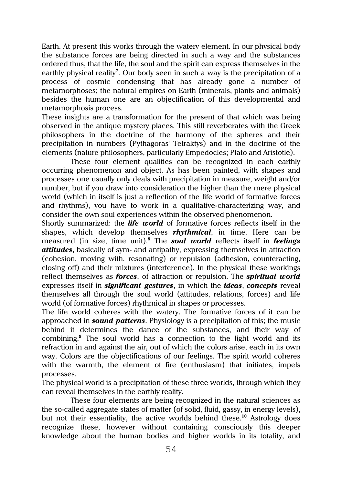Earth. At present this works through the watery element. In our physical body the substance forces are being directed in such a way and the substances ordered thus, that the life, the soul and the spirit can express themselves in the earthly physical reality**<sup>7</sup>** . Our body seen in such a way is the precipitation of a process of cosmic condensing that has already gone a number of metamorphoses; the natural empires on Earth (minerals, plants and animals) besides the human one are an objectification of this developmental and metamorphosis process.

These insights are a transformation for the present of that which was being observed in the antique mystery places. This still reverberates with the Greek philosophers in the doctrine of the harmony of the spheres and their precipitation in numbers (Pythagoras' Tetraktys) and in the doctrine of the elements (nature philosophers, particularly Empedocles; Plato and Aristotle).

These four element qualities can be recognized in each earthly occurring phenomenon and object. As has been painted, with shapes and processes one usually only deals with precipitation in measure, weight and/or number, but if you draw into consideration the higher than the mere physical world (which in itself is just a reflection of the life world of formative forces and rhythms), you have to work in a qualitative-characterizing way, and consider the own soul experiences within the observed phenomenon.

Shortly summarized: the *life world* of formative forces reflects itself in the shapes, which develop themselves *rhythmical*, in time. Here can be measured (in size, time unit).**<sup>8</sup>** The *soul world* reflects itself in *feelings attitudes*, basically of sym- and antipathy, expressing themselves in attraction (cohesion, moving with, resonating) or repulsion (adhesion, counteracting, closing off) and their mixtures (interference). In the physical these workings reflect themselves as *forces*, of attraction or repulsion. The *spiritual world* expresses itself in *significant gestures*, in which the *ideas*, *concepts* reveal themselves all through the soul world (attitudes, relations, forces) and life world (of formative forces) rhythmical in shapes or processes.

The life world coheres with the watery. The formative forces of it can be approached in *sound patterns*. Physiology is a precipitation of this; the music behind it determines the dance of the substances, and their way of combining.**<sup>9</sup>** The soul world has a connection to the light world and its refraction in and against the air, out of which the colors arise, each in its own way. Colors are the objectifications of our feelings. The spirit world coheres with the warmth, the element of fire (enthusiasm) that initiates, impels processes.

The physical world is a precipitation of these three worlds, through which they can reveal themselves in the earthly reality.

These four elements are being recognized in the natural sciences as the so-called aggregate states of matter (of solid, fluid, gassy, in energy levels), but not their essentiality, the active worlds behind these.**<sup>10</sup>** Astrology does recognize these, however without containing consciously this deeper knowledge about the human bodies and higher worlds in its totality, and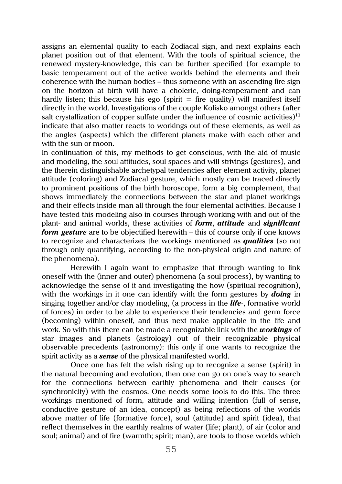assigns an elemental quality to each Zodiacal sign, and next explains each planet position out of that element. With the tools of spiritual science, the renewed mystery-knowledge, this can be further specified (for example to basic temperament out of the active worlds behind the elements and their coherence with the human bodies – thus someone with an ascending fire sign on the horizon at birth will have a choleric, doing-temperament and can hardly listen; this because his ego (spirit  $=$  fire quality) will manifest itself directly in the world. Investigations of the couple Kolisko amongst others (after salt crystallization of copper sulfate under the influence of cosmic activities)**<sup>11</sup>** indicate that also matter reacts to workings out of these elements, as well as the angles (aspects) which the different planets make with each other and with the sun or moon

In continuation of this, my methods to get conscious, with the aid of music and modeling, the soul attitudes, soul spaces and will strivings (gestures), and the therein distinguishable archetypal tendencies after element activity, planet attitude (coloring) and Zodiacal gesture, which mostly can be traced directly to prominent positions of the birth horoscope, form a big complement, that shows immediately the connections between the star and planet workings and their effects inside man all through the four elemental activities. Because I have tested this modeling also in courses through working with and out of the plant- and animal worlds, these activities of *form*, *attitude* and *significant form gesture* are to be objectified herewith – this of course only if one knows to recognize and characterizes the workings mentioned as *qualities* (so not through only quantifying, according to the non-physical origin and nature of the phenomena).

Herewith I again want to emphasize that through wanting to link oneself with the (inner and outer) phenomena (a soul process), by wanting to acknowledge the sense of it and investigating the how (spiritual recognition), with the workings in it one can identify with the form gestures by *doing* in singing together and/or clay modeling, (a process in the *life*-, formative world of forces) in order to be able to experience their tendencies and germ force (becoming) within oneself, and thus next make applicable in the life and work. So with this there can be made a recognizable link with the *workings* of star images and planets (astrology) out of their recognizable physical observable precedents (astronomy): this only if one wants to recognize the spirit activity as a *sense* of the physical manifested world.

Once one has felt the wish rising up to recognize a sense (spirit) in the natural becoming and evolution, then one can go on one's way to search for the connections between earthly phenomena and their causes (or synchronicity) with the cosmos. One needs some tools to do this. The three workings mentioned of form, attitude and willing intention (full of sense, conductive gesture of an idea, concept) as being reflections of the worlds above matter of life (formative force), soul (attitude) and spirit (idea), that reflect themselves in the earthly realms of water (life; plant), of air (color and soul; animal) and of fire (warmth; spirit; man), are tools to those worlds which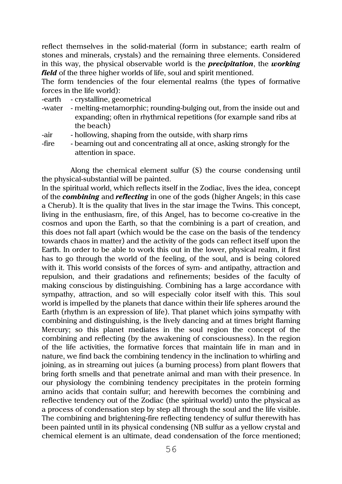reflect themselves in the solid-material (form in substance; earth realm of stones and minerals, crystals) and the remaining three elements. Considered in this way, the physical observable world is the *precipitation*, the *working field* of the three higher worlds of life, soul and spirit mentioned.

The form tendencies of the four elemental realms (the types of formative forces in the life world):

- -earth crystalline, geometrical
- -water melting-metamorphic; rounding-bulging out, from the inside out and expanding; often in rhythmical repetitions (for example sand ribs at the beach)
- -air hollowing, shaping from the outside, with sharp rims
	-
- -fire beaming out and concentrating all at once, asking strongly for the attention in space.

Along the chemical element sulfur (S) the course condensing until the physical-substantial will be painted.

In the spiritual world, which reflects itself in the Zodiac, lives the idea, concept of the *combining* and *reflecting* in one of the gods (higher Angels; in this case a Cherub). It is the quality that lives in the star image the Twins. This concept, living in the enthusiasm, fire, of this Angel, has to become co-creative in the cosmos and upon the Earth, so that the combining is a part of creation, and this does not fall apart (which would be the case on the basis of the tendency towards chaos in matter) and the activity of the gods can reflect itself upon the Earth. In order to be able to work this out in the lower, physical realm, it first has to go through the world of the feeling, of the soul, and is being colored with it. This world consists of the forces of sym- and antipathy, attraction and repulsion, and their gradations and refinements; besides of the faculty of making conscious by distinguishing. Combining has a large accordance with sympathy, attraction, and so will especially color itself with this. This soul world is impelled by the planets that dance within their life spheres around the Earth (rhythm is an expression of life). That planet which joins sympathy with combining and distinguishing, is the lively dancing and at times bright flaming Mercury; so this planet mediates in the soul region the concept of the combining and reflecting (by the awakening of consciousness). In the region of the life activities, the formative forces that maintain life in man and in nature, we find back the combining tendency in the inclination to whirling and joining, as in streaming out juices (a burning process) from plant flowers that bring forth smells and that penetrate animal and man with their presence. In our physiology the combining tendency precipitates in the protein forming amino acids that contain sulfur; and herewith becomes the combining and reflective tendency out of the Zodiac (the spiritual world) unto the physical as a process of condensation step by step all through the soul and the life visible. The combining and brightening-fire reflecting tendency of sulfur therewith has been painted until in its physical condensing (NB sulfur as a yellow crystal and chemical element is an ultimate, dead condensation of the force mentioned;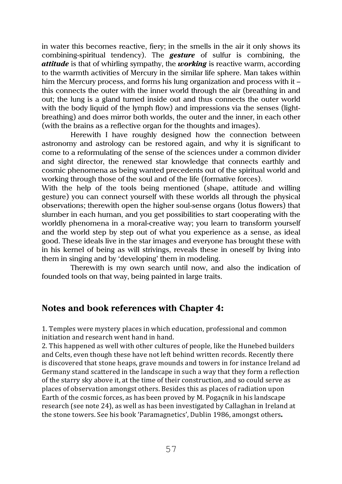in water this becomes reactive, fiery; in the smells in the air it only shows its combining-spiritual tendency). The *gesture* of sulfur is combining, the *attitude* is that of whirling sympathy, the *working* is reactive warm, according to the warmth activities of Mercury in the similar life sphere. Man takes within him the Mercury process, and forms his lung organization and process with it – this connects the outer with the inner world through the air (breathing in and out; the lung is a gland turned inside out and thus connects the outer world with the body liquid of the lymph flow) and impressions via the senses (lightbreathing) and does mirror both worlds, the outer and the inner, in each other (with the brains as a reflective organ for the thoughts and images).

Herewith I have roughly designed how the connection between astronomy and astrology can be restored again, and why it is significant to come to a reformulating of the sense of the sciences under a common divider and sight director, the renewed star knowledge that connects earthly and cosmic phenomena as being wanted precedents out of the spiritual world and working through those of the soul and of the life (formative forces).

With the help of the tools being mentioned (shape, attitude and willing gesture) you can connect yourself with these worlds all through the physical observations; therewith open the higher soul-sense organs (lotus flowers) that slumber in each human, and you get possibilities to start cooperating with the worldly phenomena in a moral-creative way; you learn to transform yourself and the world step by step out of what you experience as a sense, as ideal good. These ideals live in the star images and everyone has brought these with in his kernel of being as will strivings, reveals these in oneself by living into them in singing and by 'developing' them in modeling.

Therewith is my own search until now, and also the indication of founded tools on that way, being painted in large traits.

## **Notes and book references with Chapter 4:**

1. Temples were mystery places in which education, professional and common initiation and research went hand in hand.

2. This happened as well with other cultures of people, like the Hunebed builders and Celts, even though these have not left behind written records. Recently there is discovered that stone heaps, grave mounds and towers in for instance Ireland ad Germany stand scattered in the landscape in such a way that they form a reflection of the starry sky above it, at the time of their construction, and so could serve as places of observation amongst others. Besides this as places of radiation upon Earth of the cosmic forces, as has been proved by M. Pogaçnik in his landscape research (see note 24), as well as has been investigated by Callaghan in Ireland at the stone towers. See his book 'Paramagnetics', Dublin 1986, amongst others.